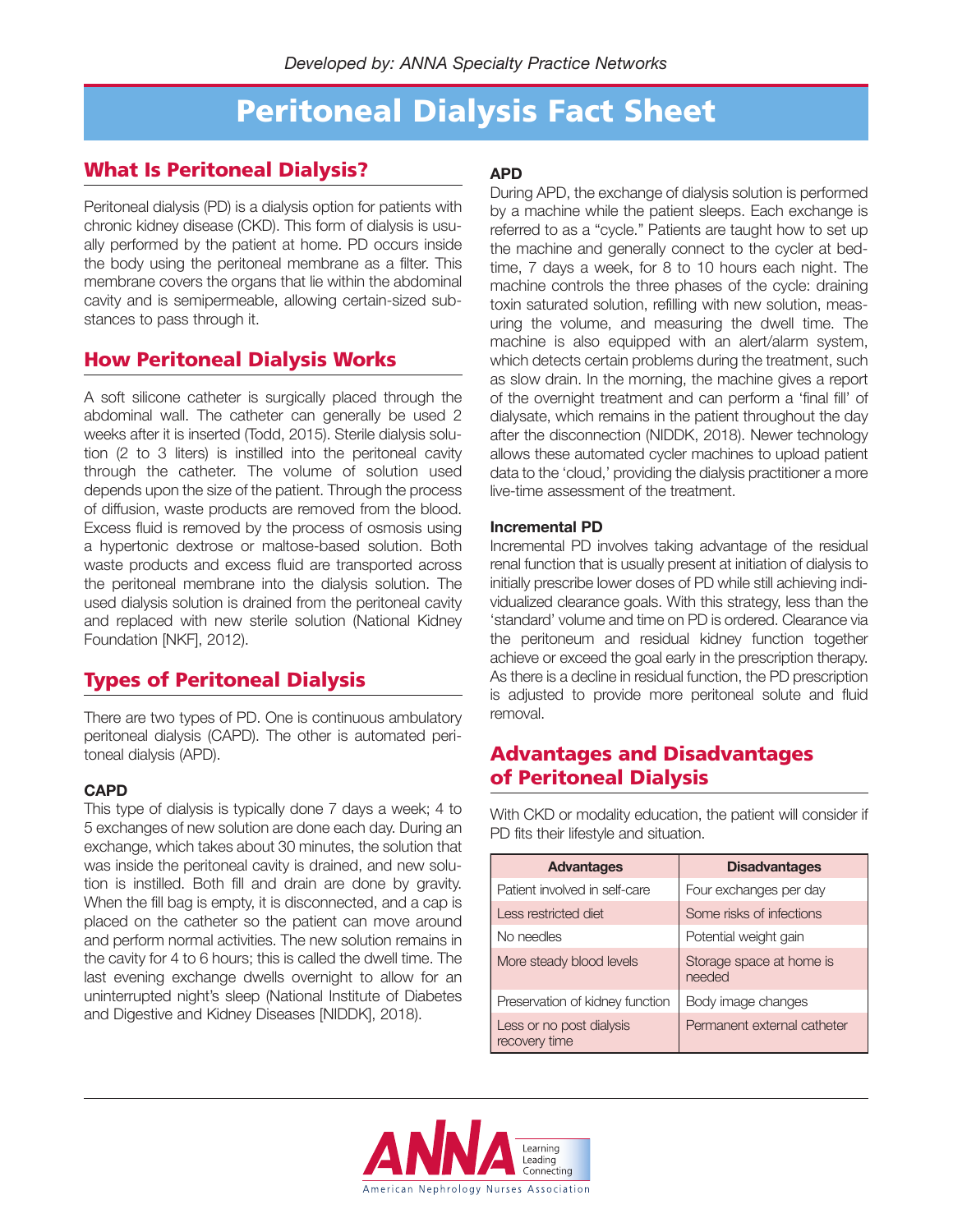# **Peritoneal Dialysis Fact Sheet**

## **What Is Peritoneal Dialysis?**

Peritoneal dialysis (PD) is a dialysis option for patients with chronic kidney disease (CKD). This form of dialysis is usually performed by the patient at home. PD occurs inside the body using the peritoneal membrane as a filter. This membrane covers the organs that lie within the abdominal cavity and is semipermeable, allowing certain-sized substances to pass through it.

### **How Peritoneal Dialysis Works**

A soft silicone catheter is surgically placed through the abdominal wall. The catheter can generally be used 2 weeks after it is inserted (Todd, 2015). Sterile dialysis solution (2 to 3 liters) is instilled into the peritoneal cavity through the catheter. The volume of solution used depends upon the size of the patient. Through the process of diffusion, waste products are removed from the blood. Excess fluid is removed by the process of osmosis using a hypertonic dextrose or maltose-based solution. Both waste products and excess fluid are transported across the peritoneal membrane into the dialysis solution. The used dialysis solution is drained from the peritoneal cavity and replaced with new sterile solution (National Kidney Foundation [NKF], 2012).

## **Types of Peritoneal Dialysis**

There are two types of PD. One is continuous ambulatory peritoneal dialysis (CAPD). The other is automated peritoneal dialysis (APD).

#### **CAPD**

This type of dialysis is typically done 7 days a week; 4 to 5 exchanges of new solution are done each day. During an exchange, which takes about 30 minutes, the solution that was inside the peritoneal cavity is drained, and new solution is instilled. Both fill and drain are done by gravity. When the fill bag is empty, it is disconnected, and a cap is placed on the catheter so the patient can move around and perform normal activities. The new solution remains in the cavity for 4 to 6 hours; this is called the dwell time. The last evening exchange dwells overnight to allow for an uninterrupted night's sleep (National Institute of Diabetes and Digestive and Kidney Diseases [NIDDK], 2018).

### **APD**

During APD, the exchange of dialysis solution is performed by a machine while the patient sleeps. Each exchange is referred to as a "cycle." Patients are taught how to set up the machine and generally connect to the cycler at bedtime, 7 days a week, for 8 to 10 hours each night. The machine controls the three phases of the cycle: draining toxin saturated solution, refilling with new solution, measuring the volume, and measuring the dwell time. The machine is also equipped with an alert/alarm system, which detects certain problems during the treatment, such as slow drain. In the morning, the machine gives a report of the overnight treatment and can perform a 'final fill' of dialysate, which remains in the patient throughout the day after the disconnection (NIDDK, 2018). Newer technology allows these automated cycler machines to upload patient data to the 'cloud,' providing the dialysis practitioner a more live-time assessment of the treatment.

#### **Incremental PD**

Incremental PD involves taking advantage of the residual renal function that is usually present at initiation of dialysis to initially prescribe lower doses of PD while still achieving individualized clearance goals. With this strategy, less than the 'standard' volume and time on PD is ordered. Clearance via the peritoneum and residual kidney function together achieve or exceed the goal early in the prescription therapy. As there is a decline in residual function, the PD prescription is adjusted to provide more peritoneal solute and fluid removal.

## **Advantages and Disadvantages of Peritoneal Dialysis**

With CKD or modality education, the patient will consider if PD fits their lifestyle and situation.

| <b>Advantages</b>                         | <b>Disadvantages</b>               |
|-------------------------------------------|------------------------------------|
| Patient involved in self-care             | Four exchanges per day             |
| <b>Less restricted diet</b>               | Some risks of infections           |
| No needles                                | Potential weight gain              |
| More steady blood levels                  | Storage space at home is<br>needed |
| Preservation of kidney function           | Body image changes                 |
| Less or no post dialysis<br>recovery time | Permanent external catheter        |

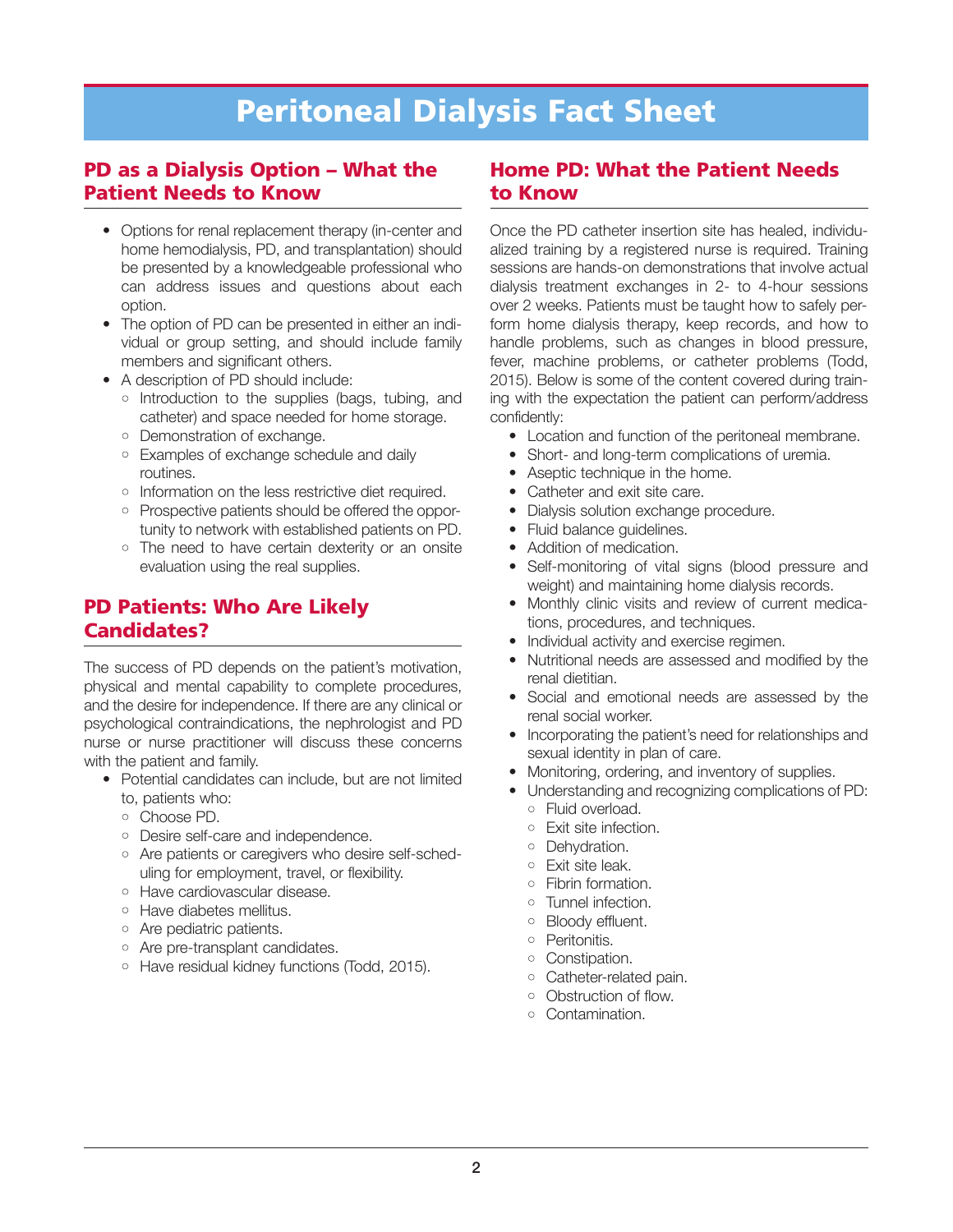# **Peritoneal Dialysis Fact Sheet**

### **PD as a Dialysis Option – What the Patient Needs to Know**

- Options for renal replacement therapy (in-center and home hemodialysis, PD, and transplantation) should be presented by a knowledgeable professional who can address issues and questions about each option.
- The option of PD can be presented in either an individual or group setting, and should include family members and significant others.
- A description of PD should include:
	- Introduction to the supplies (bags, tubing, and catheter) and space needed for home storage.
	- Demonstration of exchange.
	- Examples of exchange schedule and daily routines.
	- Information on the less restrictive diet required.
	- Prospective patients should be offered the opportunity to network with established patients on PD.
	- The need to have certain dexterity or an onsite evaluation using the real supplies.

# **PD Patients: Who Are Likely Candidates?**

The success of PD depends on the patient's motivation, physical and mental capability to complete procedures, and the desire for independence. If there are any clinical or psychological contraindications, the nephrologist and PD nurse or nurse practitioner will discuss these concerns with the patient and family.

- Potential candidates can include, but are not limited to, patients who:
	- Choose PD.
	-
	- Desire self-care and independence. • Are patients or caregivers who desire self-sched-
	- uling for employment, travel, or flexibility.
	- Have cardiovascular disease.
	- Have diabetes mellitus.
	- Are pediatric patients.
	- Are pre-transplant candidates.
	- Have residual kidney functions (Todd, 2015).

### **Home PD: What the Patient Needs to Know**

Once the PD catheter insertion site has healed, individualized training by a registered nurse is required. Training sessions are hands-on demonstrations that involve actual dialysis treatment exchanges in 2- to 4-hour sessions over 2 weeks. Patients must be taught how to safely perform home dialysis therapy, keep records, and how to handle problems, such as changes in blood pressure, fever, machine problems, or catheter problems (Todd, 2015). Below is some of the content covered during training with the expectation the patient can perform/address confidently:

- Location and function of the peritoneal membrane.
- Short- and long-term complications of uremia.
- Aseptic technique in the home.
- Catheter and exit site care.
- Dialysis solution exchange procedure.
- Fluid balance quidelines.
- Addition of medication.
- Self-monitoring of vital signs (blood pressure and weight) and maintaining home dialysis records.
- Monthly clinic visits and review of current medications, procedures, and techniques.
- Individual activity and exercise regimen.
- Nutritional needs are assessed and modified by the renal dietitian.
- Social and emotional needs are assessed by the renal social worker.
- Incorporating the patient's need for relationships and sexual identity in plan of care.
- Monitoring, ordering, and inventory of supplies.
- Understanding and recognizing complications of PD: • Fluid overload.
	- Exit site infection.
	- Dehydration.
	- Exit site leak.
	- Fibrin formation.
	- Tunnel infection.
	- Bloody effluent.
	- Peritonitis.
	- Constipation.
	- Catheter-related pain.
	- Obstruction of flow.
	- Contamination.